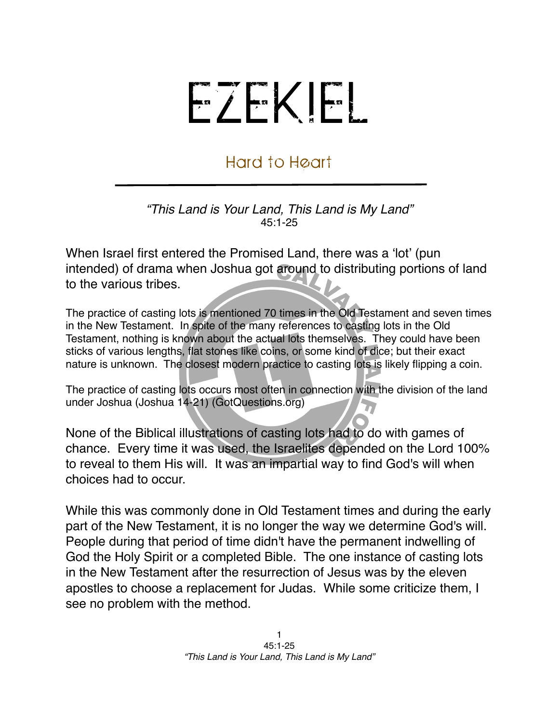## EZEKIEL

## Hard to Heart

*"This Land is Your Land, This Land is My Land"* 45:1-25

When Israel first entered the Promised Land, there was a ʻlot' (pun intended) of drama when Joshua got around to distributing portions of land to the various tribes.

The practice of casting lots is mentioned 70 times in the Old Testament and seven times in the New Testament. In spite of the many references to casting lots in the Old Testament, nothing is known about the actual lots themselves. They could have been sticks of various lengths, flat stones like coins, or some kind of dice; but their exact nature is unknown. The closest modern practice to casting lots is likely flipping a coin.

The practice of casting lots occurs most often in connection with the division of the land under Joshua (Joshua 14-21) (GotQuestions.org)

None of the Biblical illustrations of casting lots had to do with games of chance. Every time it was used, the Israelites depended on the Lord 100% to reveal to them His will. It was an impartial way to find God's will when choices had to occur.

While this was commonly done in Old Testament times and during the early part of the New Testament, it is no longer the way we determine God's will. People during that period of time didn't have the permanent indwelling of God the Holy Spirit or a completed Bible. The one instance of casting lots in the New Testament after the resurrection of Jesus was by the eleven apostles to choose a replacement for Judas. While some criticize them, I see no problem with the method.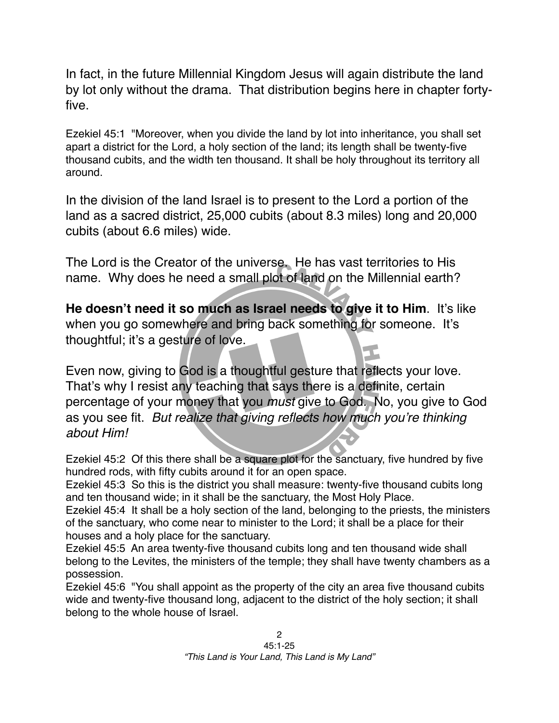In fact, in the future Millennial Kingdom Jesus will again distribute the land by lot only without the drama. That distribution begins here in chapter fortyfive.

Ezekiel 45:1 "Moreover, when you divide the land by lot into inheritance, you shall set apart a district for the Lord, a holy section of the land; its length shall be twenty-five thousand cubits, and the width ten thousand. It shall be holy throughout its territory all around.

In the division of the land Israel is to present to the Lord a portion of the land as a sacred district, 25,000 cubits (about 8.3 miles) long and 20,000 cubits (about 6.6 miles) wide.

The Lord is the Creator of the universe. He has vast territories to His name. Why does he need a small plot of land on the Millennial earth?

**He doesn't need it so much as Israel needs to give it to Him**. It's like when you go somewhere and bring back something for someone. It's thoughtful; it's a gesture of love.

Even now, giving to God is a thoughtful gesture that reflects your love. That's why I resist any teaching that says there is a definite, certain percentage of your money that you *must* give to God. No, you give to God as you see fit. *But realize that giving reflects how much you*'*re thinking about Him!*

Ezekiel 45:2 Of this there shall be a square plot for the sanctuary, five hundred by five hundred rods, with fifty cubits around it for an open space.

Ezekiel 45:3 So this is the district you shall measure: twenty-five thousand cubits long and ten thousand wide; in it shall be the sanctuary, the Most Holy Place.

Ezekiel 45:4 It shall be a holy section of the land, belonging to the priests, the ministers of the sanctuary, who come near to minister to the Lord; it shall be a place for their houses and a holy place for the sanctuary.

Ezekiel 45:5 An area twenty-five thousand cubits long and ten thousand wide shall belong to the Levites, the ministers of the temple; they shall have twenty chambers as a possession.

Ezekiel 45:6 "You shall appoint as the property of the city an area five thousand cubits wide and twenty-five thousand long, adjacent to the district of the holy section; it shall belong to the whole house of Israel.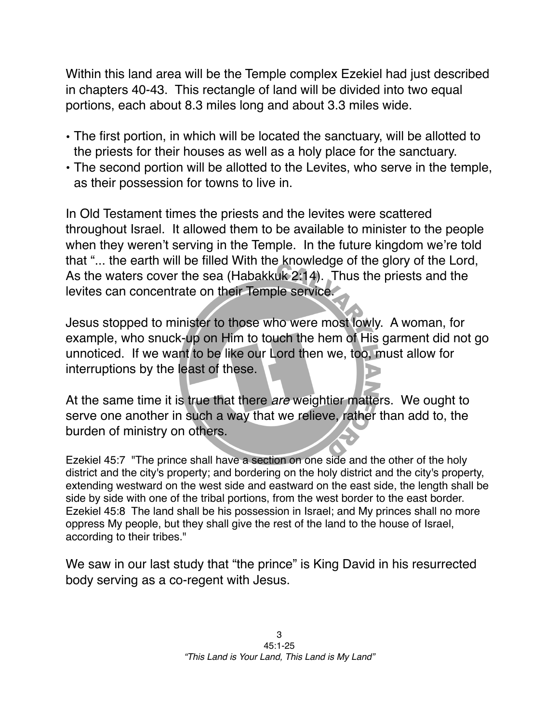Within this land area will be the Temple complex Ezekiel had just described in chapters 40-43. This rectangle of land will be divided into two equal portions, each about 8.3 miles long and about 3.3 miles wide.

- The first portion, in which will be located the sanctuary, will be allotted to the priests for their houses as well as a holy place for the sanctuary.
- The second portion will be allotted to the Levites, who serve in the temple, as their possession for towns to live in.

In Old Testament times the priests and the levites were scattered throughout Israel. It allowed them to be available to minister to the people when they weren't serving in the Temple. In the future kingdom we're told that "... the earth will be filled With the knowledge of the glory of the Lord, As the waters cover the sea (Habakkuk 2:14). Thus the priests and the levites can concentrate on their Temple service.

Jesus stopped to minister to those who were most lowly. A woman, for example, who snuck-up on Him to touch the hem of His garment did not go unnoticed. If we want to be like our Lord then we, too, must allow for interruptions by the least of these.

At the same time it is true that there *are* weightier matters. We ought to serve one another in such a way that we relieve, rather than add to, the burden of ministry on others.

Ezekiel 45:7 "The prince shall have a section on one side and the other of the holy district and the city's property; and bordering on the holy district and the city's property, extending westward on the west side and eastward on the east side, the length shall be side by side with one of the tribal portions, from the west border to the east border. Ezekiel 45:8 The land shall be his possession in Israel; and My princes shall no more oppress My people, but they shall give the rest of the land to the house of Israel, according to their tribes."

We saw in our last study that "the prince" is King David in his resurrected body serving as a co-regent with Jesus.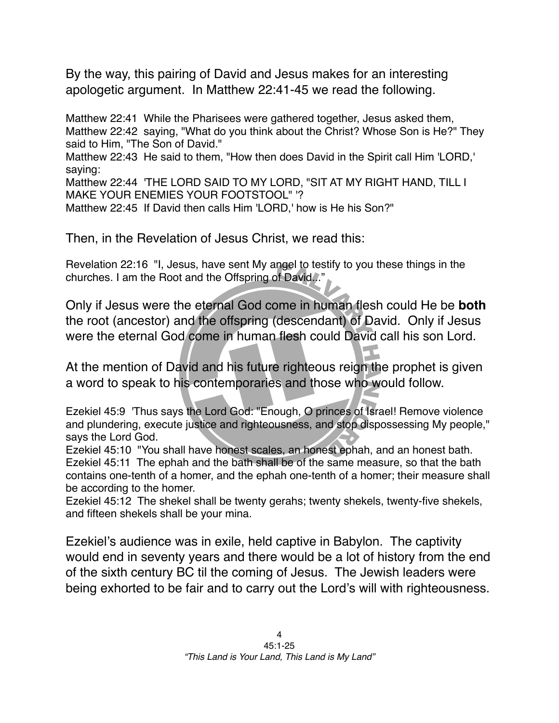By the way, this pairing of David and Jesus makes for an interesting apologetic argument. In Matthew 22:41-45 we read the following.

Matthew 22:41 While the Pharisees were gathered together, Jesus asked them, Matthew 22:42 saying, "What do you think about the Christ? Whose Son is He?" They said to Him, "The Son of David."

Matthew 22:43 He said to them, "How then does David in the Spirit call Him 'LORD,' saying:

Matthew 22:44 'THE LORD SAID TO MY LORD, "SIT AT MY RIGHT HAND, TILL I MAKE YOUR ENEMIES YOUR FOOTSTOOL" '?

Matthew 22:45 If David then calls Him 'LORD,' how is He his Son?"

Then, in the Revelation of Jesus Christ, we read this:

Revelation 22:16 "I, Jesus, have sent My angel to testify to you these things in the churches. I am the Root and the Offspring of David..."

Only if Jesus were the eternal God come in human flesh could He be **both** the root (ancestor) and the offspring (descendant) of David. Only if Jesus were the eternal God come in human flesh could David call his son Lord.

At the mention of David and his future righteous reign the prophet is given a word to speak to his contemporaries and those who would follow.

Ezekiel 45:9 'Thus says the Lord God: "Enough, O princes of Israel! Remove violence and plundering, execute justice and righteousness, and stop dispossessing My people," says the Lord God.

Ezekiel 45:10 "You shall have honest scales, an honest ephah, and an honest bath. Ezekiel 45:11 The ephah and the bath shall be of the same measure, so that the bath contains one-tenth of a homer, and the ephah one-tenth of a homer; their measure shall be according to the homer.

Ezekiel 45:12 The shekel shall be twenty gerahs; twenty shekels, twenty-five shekels, and fifteen shekels shall be your mina.

Ezekiel's audience was in exile, held captive in Babylon. The captivity would end in seventy years and there would be a lot of history from the end of the sixth century BC til the coming of Jesus. The Jewish leaders were being exhorted to be fair and to carry out the Lord's will with righteousness.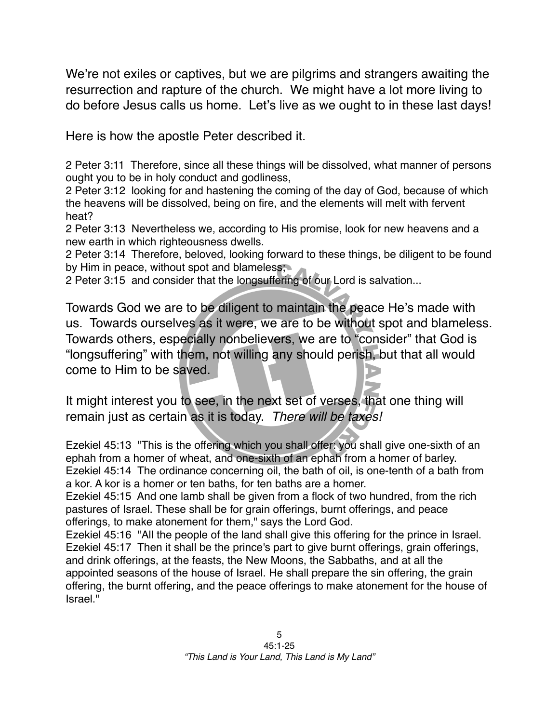We're not exiles or captives, but we are pilgrims and strangers awaiting the resurrection and rapture of the church. We might have a lot more living to do before Jesus calls us home. Let's live as we ought to in these last days!

Here is how the apostle Peter described it.

2 Peter 3:11 Therefore, since all these things will be dissolved, what manner of persons ought you to be in holy conduct and godliness,

2 Peter 3:12 looking for and hastening the coming of the day of God, because of which the heavens will be dissolved, being on fire, and the elements will melt with fervent heat?

2 Peter 3:13 Nevertheless we, according to His promise, look for new heavens and a new earth in which righteousness dwells.

2 Peter 3:14 Therefore, beloved, looking forward to these things, be diligent to be found by Him in peace, without spot and blameless;

2 Peter 3:15 and consider that the longsuffering of our Lord is salvation...

Towards God we are to be diligent to maintain the peace He's made with us. Towards ourselves as it were, we are to be without spot and blameless. Towards others, especially nonbelievers, we are to "consider" that God is "longsuffering" with them, not willing any should perish, but that all would come to Him to be saved.

It might interest you to see, in the next set of verses, that one thing will remain just as certain as it is today. *There will be taxes!*

Ezekiel 45:13 "This is the offering which you shall offer: you shall give one-sixth of an ephah from a homer of wheat, and one-sixth of an ephah from a homer of barley. Ezekiel 45:14 The ordinance concerning oil, the bath of oil, is one-tenth of a bath from a kor. A kor is a homer or ten baths, for ten baths are a homer.

Ezekiel 45:15 And one lamb shall be given from a flock of two hundred, from the rich pastures of Israel. These shall be for grain offerings, burnt offerings, and peace offerings, to make atonement for them," says the Lord God.

Ezekiel 45:16 "All the people of the land shall give this offering for the prince in Israel. Ezekiel 45:17 Then it shall be the prince's part to give burnt offerings, grain offerings, and drink offerings, at the feasts, the New Moons, the Sabbaths, and at all the appointed seasons of the house of Israel. He shall prepare the sin offering, the grain offering, the burnt offering, and the peace offerings to make atonement for the house of Israel."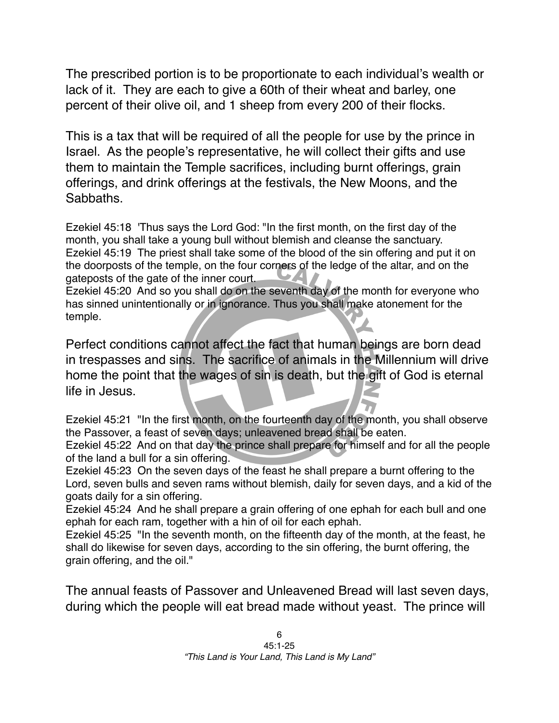The prescribed portion is to be proportionate to each individual's wealth or lack of it. They are each to give a 60th of their wheat and barley, one percent of their olive oil, and 1 sheep from every 200 of their flocks.

This is a tax that will be required of all the people for use by the prince in Israel. As the people's representative, he will collect their gifts and use them to maintain the Temple sacrifices, including burnt offerings, grain offerings, and drink offerings at the festivals, the New Moons, and the Sabbaths.

Ezekiel 45:18 'Thus says the Lord God: "In the first month, on the first day of the month, you shall take a young bull without blemish and cleanse the sanctuary. Ezekiel 45:19 The priest shall take some of the blood of the sin offering and put it on the doorposts of the temple, on the four corners of the ledge of the altar, and on the gateposts of the gate of the inner court. 24

Ezekiel 45:20 And so you shall do on the seventh day of the month for everyone who has sinned unintentionally or in ignorance. Thus you shall make atonement for the temple.

Perfect conditions cannot affect the fact that human beings are born dead in trespasses and sins. The sacrifice of animals in the Millennium will drive home the point that the wages of sin is death, but the gift of God is eternal life in Jesus.

Ezekiel 45:21 "In the first month, on the fourteenth day of the month, you shall observe the Passover, a feast of seven days; unleavened bread shall be eaten.

Ezekiel 45:22 And on that day the prince shall prepare for himself and for all the people of the land a bull for a sin offering.

Ezekiel 45:23 On the seven days of the feast he shall prepare a burnt offering to the Lord, seven bulls and seven rams without blemish, daily for seven days, and a kid of the goats daily for a sin offering.

Ezekiel 45:24 And he shall prepare a grain offering of one ephah for each bull and one ephah for each ram, together with a hin of oil for each ephah.

Ezekiel 45:25 "In the seventh month, on the fifteenth day of the month, at the feast, he shall do likewise for seven days, according to the sin offering, the burnt offering, the grain offering, and the oil."

The annual feasts of Passover and Unleavened Bread will last seven days, during which the people will eat bread made without yeast. The prince will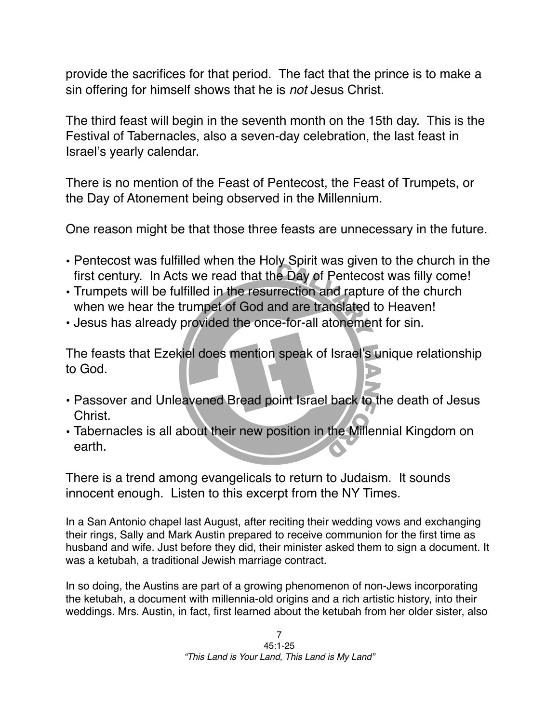provide the sacrifices for that period. The fact that the prince is to make a sin offering for himself shows that he is *not* Jesus Christ.

The third feast will begin in the seventh month on the 15th day. This is the Festival of Tabernacles, also a seven-day celebration, the last feast in Israel's yearly calendar.

There is no mention of the Feast of Pentecost, the Feast of Trumpets, or the Day of Atonement being observed in the Millennium.

One reason might be that those three feasts are unnecessary in the future.

- Pentecost was fulfilled when the Holy Spirit was given to the church in the first century. In Acts we read that the Day of Pentecost was filly come!
- Trumpets will be fulfilled in the resurrection and rapture of the church when we hear the trumpet of God and are translated to Heaven!
- Jesus has already provided the once-for-all atonement for sin.

The feasts that Ezekiel does mention speak of Israel's unique relationship to God.

- Passover and Unleavened Bread point Israel back to the death of Jesus Christ.
- Tabernacles is all about their new position in the Millennial Kingdom on earth.

There is a trend among evangelicals to return to Judaism. It sounds innocent enough. Listen to this excerpt from the NY Times.

In a San Antonio chapel last August, after reciting their wedding vows and exchanging their rings, Sally and Mark Austin prepared to receive communion for the first time as husband and wife. Just before they did, their minister asked them to sign a document. It was a ketubah, a traditional Jewish marriage contract.

In so doing, the Austins are part of a growing phenomenon of non-Jews incorporating the ketubah, a document with millennia-old origins and a rich artistic history, into their weddings. Mrs. Austin, in fact, first learned about the ketubah from her older sister, also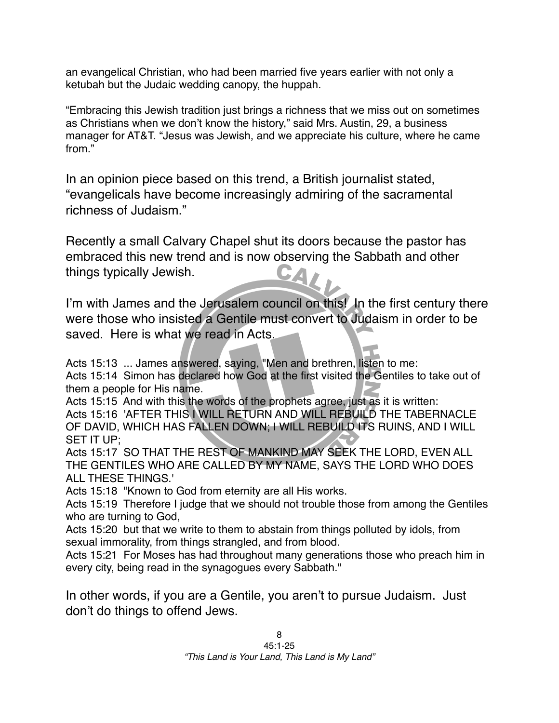an evangelical Christian, who had been married five years earlier with not only a ketubah but the Judaic wedding canopy, the huppah.

"Embracing this Jewish tradition just brings a richness that we miss out on sometimes as Christians when we don't know the history," said Mrs. Austin, 29, a business manager for AT&T. "Jesus was Jewish, and we appreciate his culture, where he came from."

In an opinion piece based on this trend, a British journalist stated, "evangelicals have become increasingly admiring of the sacramental richness of Judaism."

Recently a small Calvary Chapel shut its doors because the pastor has embraced this new trend and is now observing the Sabbath and other things typically Jewish. 571

I'm with James and the Jerusalem council on this! In the first century there were those who insisted a Gentile must convert to Judaism in order to be saved. Here is what we read in Acts.

Acts 15:13 ... James answered, saying, "Men and brethren, listen to me: Acts 15:14 Simon has declared how God at the first visited the Gentiles to take out of them a people for His name.

Acts 15:15 And with this the words of the prophets agree, just as it is written: Acts 15:16 'AFTER THIS I WILL RETURN AND WILL REBUILD THE TABERNACLE OF DAVID, WHICH HAS FALLEN DOWN; I WILL REBUILD ITS RUINS, AND I WILL SET IT UP;

Acts 15:17 SO THAT THE REST OF MANKIND MAY SEEK THE LORD, EVEN ALL THE GENTILES WHO ARE CALLED BY MY NAME, SAYS THE LORD WHO DOES ALL THESE THINGS.'

Acts 15:18 "Known to God from eternity are all His works.

Acts 15:19 Therefore I judge that we should not trouble those from among the Gentiles who are turning to God,

Acts 15:20 but that we write to them to abstain from things polluted by idols, from sexual immorality, from things strangled, and from blood.

Acts 15:21 For Moses has had throughout many generations those who preach him in every city, being read in the synagogues every Sabbath."

In other words, if you are a Gentile, you aren't to pursue Judaism. Just don't do things to offend Jews.